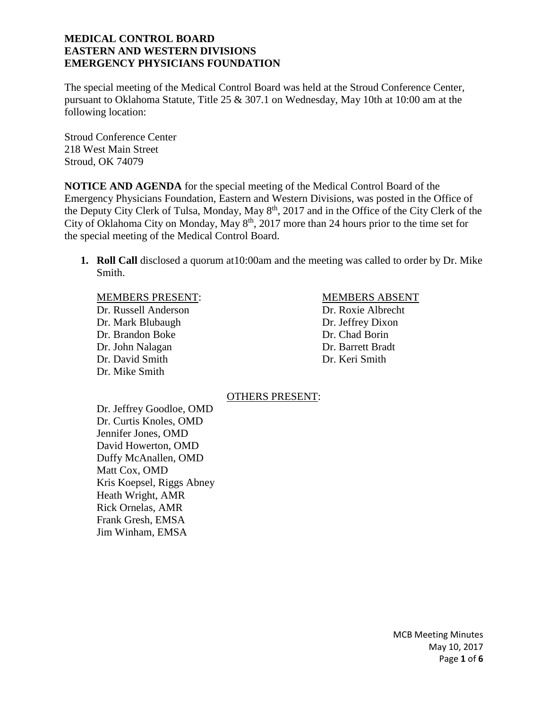The special meeting of the Medical Control Board was held at the Stroud Conference Center, pursuant to Oklahoma Statute, Title 25 & 307.1 on Wednesday, May 10th at 10:00 am at the following location:

Stroud Conference Center 218 West Main Street Stroud, OK 74079

**NOTICE AND AGENDA** for the special meeting of the Medical Control Board of the Emergency Physicians Foundation, Eastern and Western Divisions, was posted in the Office of the Deputy City Clerk of Tulsa, Monday, May  $8<sup>th</sup>$ , 2017 and in the Office of the City Clerk of the City of Oklahoma City on Monday, May  $8<sup>th</sup>$ , 2017 more than 24 hours prior to the time set for the special meeting of the Medical Control Board.

**1. Roll Call** disclosed a quorum at10:00am and the meeting was called to order by Dr. Mike Smith.

#### MEMBERS PRESENT: MEMBERS ABSENT

Dr. Russell Anderson Dr. Roxie Albrecht Dr. Mark Blubaugh Dr. Jeffrey Dixon Dr. Brandon Boke Dr. Chad Borin Dr. John Nalagan Dr. Barrett Bradt Dr. David Smith Dr. Keri Smith Dr. Mike Smith

#### OTHERS PRESENT:

Dr. Jeffrey Goodloe, OMD Dr. Curtis Knoles, OMD Jennifer Jones, OMD David Howerton, OMD Duffy McAnallen, OMD Matt Cox, OMD Kris Koepsel, Riggs Abney Heath Wright, AMR Rick Ornelas, AMR Frank Gresh, EMSA Jim Winham, EMSA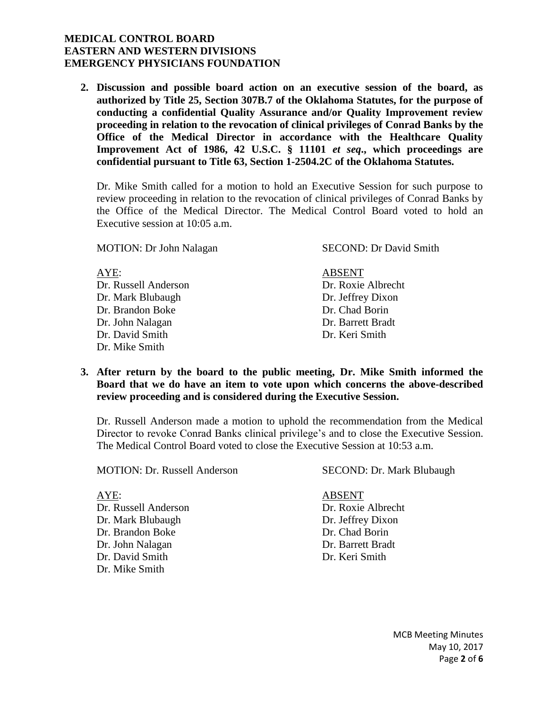**2. Discussion and possible board action on an executive session of the board, as authorized by Title 25, Section 307B.7 of the Oklahoma Statutes, for the purpose of conducting a confidential Quality Assurance and/or Quality Improvement review proceeding in relation to the revocation of clinical privileges of Conrad Banks by the Office of the Medical Director in accordance with the Healthcare Quality Improvement Act of 1986, 42 U.S.C. § 11101** *et seq***., which proceedings are confidential pursuant to Title 63, Section 1-2504.2C of the Oklahoma Statutes.**

Dr. Mike Smith called for a motion to hold an Executive Session for such purpose to review proceeding in relation to the revocation of clinical privileges of Conrad Banks by the Office of the Medical Director. The Medical Control Board voted to hold an Executive session at 10:05 a.m.

MOTION: Dr John Nalagan SECOND: Dr David Smith

AYE: ABSENT Dr. Russell Anderson Dr. Roxie Albrecht Dr. Mark Blubaugh Dr. Jeffrey Dixon Dr. Brandon Boke Dr. Chad Borin Dr. John Nalagan Dr. Barrett Bradt Dr. David Smith Dr. Keri Smith Dr. Mike Smith

- 
- **3. After return by the board to the public meeting, Dr. Mike Smith informed the Board that we do have an item to vote upon which concerns the above-described review proceeding and is considered during the Executive Session.**

Dr. Russell Anderson made a motion to uphold the recommendation from the Medical Director to revoke Conrad Banks clinical privilege's and to close the Executive Session. The Medical Control Board voted to close the Executive Session at 10:53 a.m.

MOTION: Dr. Russell Anderson SECOND: Dr. Mark Blubaugh

Dr. Russell Anderson Dr. Roxie Albrecht Dr. Mark Blubaugh Dr. Jeffrey Dixon Dr. Brandon Boke Dr. Chad Borin Dr. John Nalagan Dr. Barrett Bradt Dr. David Smith Dr. Keri Smith Dr. Mike Smith

AYE: ABSENT

MCB Meeting Minutes May 10, 2017 Page **2** of **6**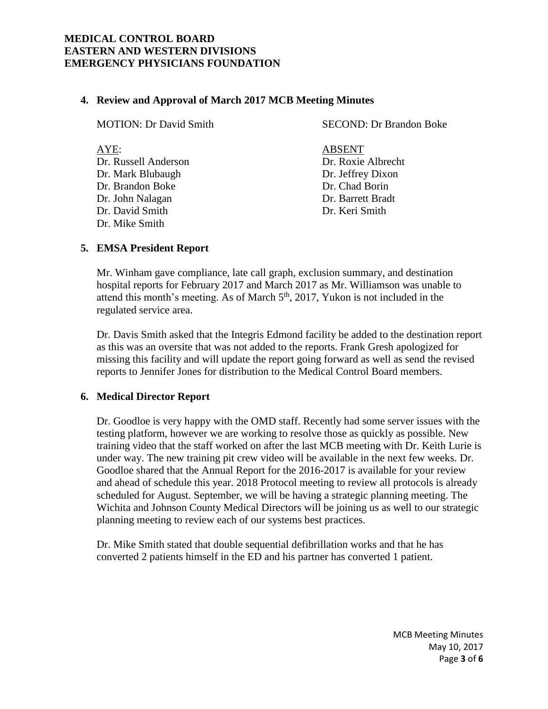## **4. Review and Approval of March 2017 MCB Meeting Minutes**

| <b>MOTION: Dr David Smith</b>                                                                                                  | <b>SECOND: Dr Brandon Boke</b>                                                                                    |  |
|--------------------------------------------------------------------------------------------------------------------------------|-------------------------------------------------------------------------------------------------------------------|--|
| AYE:<br>Dr. Russell Anderson<br>Dr. Mark Blubaugh<br>Dr. Brandon Boke<br>Dr. John Nalagan<br>Dr. David Smith<br>Dr. Mike Smith | <b>ABSENT</b><br>Dr. Roxie Albrecht<br>Dr. Jeffrey Dixon<br>Dr. Chad Borin<br>Dr. Barrett Bradt<br>Dr. Keri Smith |  |
|                                                                                                                                |                                                                                                                   |  |

## **5. EMSA President Report**

Mr. Winham gave compliance, late call graph, exclusion summary, and destination hospital reports for February 2017 and March 2017 as Mr. Williamson was unable to attend this month's meeting. As of March  $5<sup>th</sup>$ , 2017, Yukon is not included in the regulated service area.

Dr. Davis Smith asked that the Integris Edmond facility be added to the destination report as this was an oversite that was not added to the reports. Frank Gresh apologized for missing this facility and will update the report going forward as well as send the revised reports to Jennifer Jones for distribution to the Medical Control Board members.

## **6. Medical Director Report**

Dr. Goodloe is very happy with the OMD staff. Recently had some server issues with the testing platform, however we are working to resolve those as quickly as possible. New training video that the staff worked on after the last MCB meeting with Dr. Keith Lurie is under way. The new training pit crew video will be available in the next few weeks. Dr. Goodloe shared that the Annual Report for the 2016-2017 is available for your review and ahead of schedule this year. 2018 Protocol meeting to review all protocols is already scheduled for August. September, we will be having a strategic planning meeting. The Wichita and Johnson County Medical Directors will be joining us as well to our strategic planning meeting to review each of our systems best practices.

Dr. Mike Smith stated that double sequential defibrillation works and that he has converted 2 patients himself in the ED and his partner has converted 1 patient.

> MCB Meeting Minutes May 10, 2017 Page **3** of **6**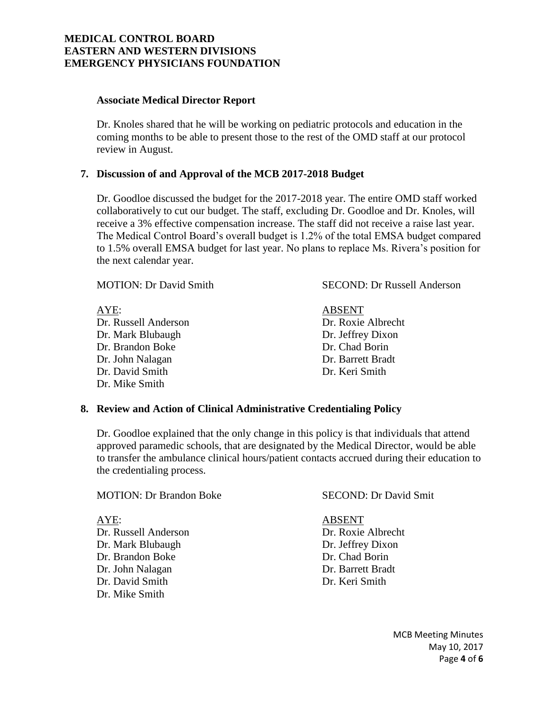#### **Associate Medical Director Report**

Dr. Knoles shared that he will be working on pediatric protocols and education in the coming months to be able to present those to the rest of the OMD staff at our protocol review in August.

#### **7. Discussion of and Approval of the MCB 2017-2018 Budget**

Dr. Goodloe discussed the budget for the 2017-2018 year. The entire OMD staff worked collaboratively to cut our budget. The staff, excluding Dr. Goodloe and Dr. Knoles, will receive a 3% effective compensation increase. The staff did not receive a raise last year. The Medical Control Board's overall budget is 1.2% of the total EMSA budget compared to 1.5% overall EMSA budget for last year. No plans to replace Ms. Rivera's position for the next calendar year.

| <b>MOTION: Dr David Smith</b> | <b>SECOND: Dr Russell Anderson</b> |  |  |
|-------------------------------|------------------------------------|--|--|
| AYE:                          | <b>ABSENT</b>                      |  |  |
| Dr. Russell Anderson          | Dr. Roxie Albrecht                 |  |  |
| Dr. Mark Blubaugh             | Dr. Jeffrey Dixon                  |  |  |
| Dr. Brandon Boke              | Dr. Chad Borin                     |  |  |
| Dr. John Nalagan              | Dr. Barrett Bradt                  |  |  |
| Dr. David Smith               | Dr. Keri Smith                     |  |  |
| Dr. Mike Smith                |                                    |  |  |

#### **8. Review and Action of Clinical Administrative Credentialing Policy**

Dr. Goodloe explained that the only change in this policy is that individuals that attend approved paramedic schools, that are designated by the Medical Director, would be able to transfer the ambulance clinical hours/patient contacts accrued during their education to the credentialing process.

| AYE:                 | <b>ABSENT</b>      |
|----------------------|--------------------|
| Dr. Russell Anderson | Dr. Roxie Albrecht |
| Dr. Mark Blubaugh    | Dr. Jeffrey Dixon  |
| Dr. Brandon Boke     | Dr. Chad Borin     |
| Dr. John Nalagan     | Dr. Barrett Bradt  |
| Dr. David Smith      | Dr. Keri Smith     |
| Dr. Mike Smith       |                    |

MOTION: Dr Brandon Boke SECOND: Dr David Smit

MCB Meeting Minutes May 10, 2017 Page **4** of **6**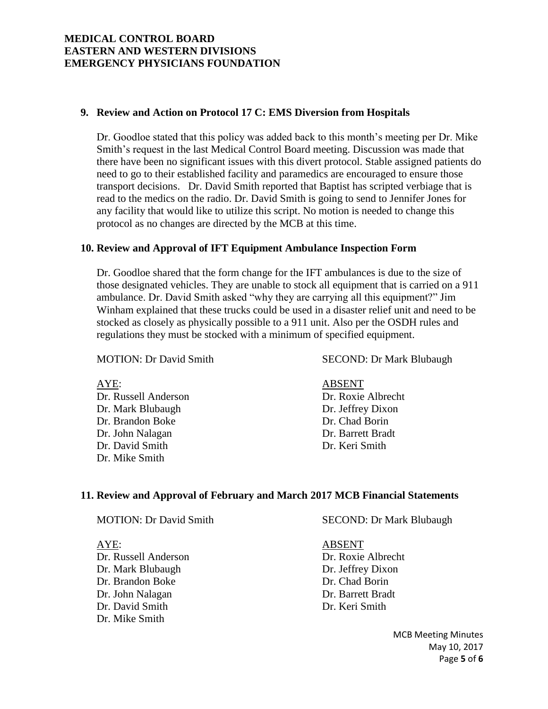#### **9. Review and Action on Protocol 17 C: EMS Diversion from Hospitals**

Dr. Goodloe stated that this policy was added back to this month's meeting per Dr. Mike Smith's request in the last Medical Control Board meeting. Discussion was made that there have been no significant issues with this divert protocol. Stable assigned patients do need to go to their established facility and paramedics are encouraged to ensure those transport decisions. Dr. David Smith reported that Baptist has scripted verbiage that is read to the medics on the radio. Dr. David Smith is going to send to Jennifer Jones for any facility that would like to utilize this script. No motion is needed to change this protocol as no changes are directed by the MCB at this time.

## **10. Review and Approval of IFT Equipment Ambulance Inspection Form**

Dr. Goodloe shared that the form change for the IFT ambulances is due to the size of those designated vehicles. They are unable to stock all equipment that is carried on a 911 ambulance. Dr. David Smith asked "why they are carrying all this equipment?" Jim Winham explained that these trucks could be used in a disaster relief unit and need to be stocked as closely as physically possible to a 911 unit. Also per the OSDH rules and regulations they must be stocked with a minimum of specified equipment.

Dr. Russell Anderson Dr. Roxie Albrecht Dr. Mark Blubaugh Dr. Jeffrey Dixon Dr. Brandon Boke Dr. Chad Borin Dr. John Nalagan Dr. Barrett Bradt Dr. David Smith Dr. Keri Smith Dr. Mike Smith

MOTION: Dr David Smith SECOND: Dr Mark Blubaugh

AYE: ABSENT

#### **11. Review and Approval of February and March 2017 MCB Financial Statements**

| <b>MOTION: Dr David Smith</b> |  |  |  |
|-------------------------------|--|--|--|
|-------------------------------|--|--|--|

AYE: ABSENT Dr. Russell Anderson Dr. Roxie Albrecht Dr. Mark Blubaugh Dr. Jeffrey Dixon Dr. Brandon Boke Dr. Chad Borin Dr. John Nalagan Dr. Barrett Bradt Dr. David Smith Dr. Keri Smith Dr. Mike Smith

SECOND: Dr Mark Blubaugh

MCB Meeting Minutes May 10, 2017 Page **5** of **6**